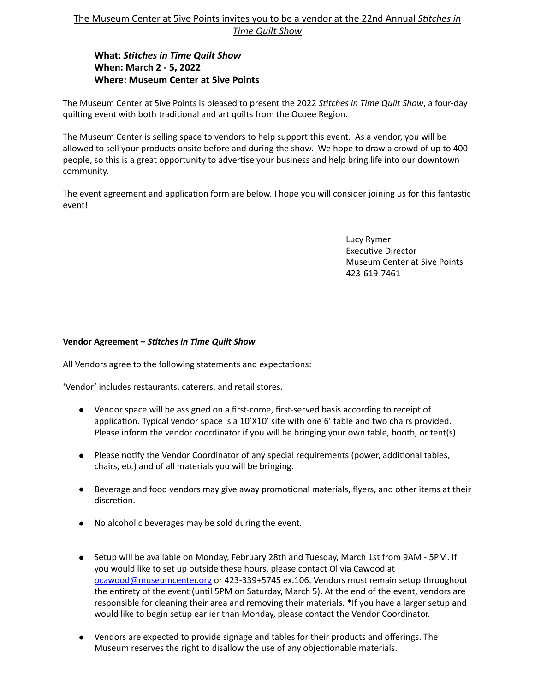## The Museum Center at 5ive Points invites you to be a vendor at the 22nd Annual Stitches in **Time Quilt Show**

## **What: Stitches in Time Quilt Show When: March 2 - 5, 2022 Where: Museum Center at 5ive Points**

The Museum Center at 5ive Points is pleased to present the 2022 Stitches in Time Quilt Show, a four-day quilting event with both traditional and art quilts from the Ocoee Region.

The Museum Center is selling space to vendors to help support this event. As a vendor, you will be allowed to sell your products onsite before and during the show. We hope to draw a crowd of up to 400 people, so this is a great opportunity to advertise your business and help bring life into our downtown community. 

The event agreement and application form are below. I hope you will consider joining us for this fantastic event!

> Lucy Rymer Executive Director Museum Center at 5ive Points 423-619-7461

## Vendor Agreement - Stitches in Time Quilt Show

All Vendors agree to the following statements and expectations:

'Vendor' includes restaurants, caterers, and retail stores.

- Vendor space will be assigned on a first-come, first-served basis according to receipt of application. Typical vendor space is a  $10'X10'$  site with one  $6'$  table and two chairs provided. Please inform the vendor coordinator if you will be bringing your own table, booth, or tent(s).
- Please notify the Vendor Coordinator of any special requirements (power, additional tables, chairs, etc) and of all materials you will be bringing.
- Beverage and food vendors may give away promotional materials, flyers, and other items at their discretion.
- No alcoholic beverages may be sold during the event.
- Setup will be available on Monday, February 28th and Tuesday, March 1st from 9AM 5PM. If you would like to set up outside these hours, please contact Olivia Cawood at [ocawood@museumcenter.org](mailto:ocawood@museumcenter.org) or 423-339+5745 ex.106. Vendors must remain setup throughout the entirety of the event (until 5PM on Saturday, March 5). At the end of the event, vendors are responsible for cleaning their area and removing their materials. \*If you have a larger setup and would like to begin setup earlier than Monday, please contact the Vendor Coordinator.
- Vendors are expected to provide signage and tables for their products and offerings. The Museum reserves the right to disallow the use of any objectionable materials.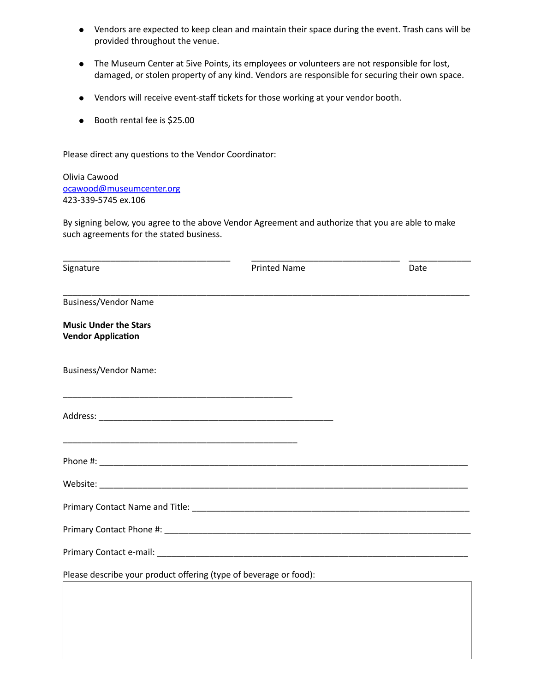- Vendors are expected to keep clean and maintain their space during the event. Trash cans will be provided throughout the venue.
- The Museum Center at 5ive Points, its employees or volunteers are not responsible for lost, damaged, or stolen property of any kind. Vendors are responsible for securing their own space.
- Vendors will receive event-staff tickets for those working at your vendor booth.
- Booth rental fee is \$25.00

Please direct any questions to the Vendor Coordinator:

Olivia Cawood [ocawood@museumcenter.org](mailto:lrymer@museumcenter.org) 423-339-5745 ex.106

By signing below, you agree to the above Vendor Agreement and authorize that you are able to make such agreements for the stated business.

| Signature                                                         | <b>Printed Name</b> | Date |
|-------------------------------------------------------------------|---------------------|------|
| <b>Business/Vendor Name</b>                                       |                     |      |
| <b>Music Under the Stars</b><br><b>Vendor Application</b>         |                     |      |
| <b>Business/Vendor Name:</b>                                      |                     |      |
|                                                                   |                     |      |
|                                                                   |                     |      |
|                                                                   |                     |      |
|                                                                   |                     |      |
|                                                                   |                     |      |
|                                                                   |                     |      |
| Please describe your product offering (type of beverage or food): |                     |      |